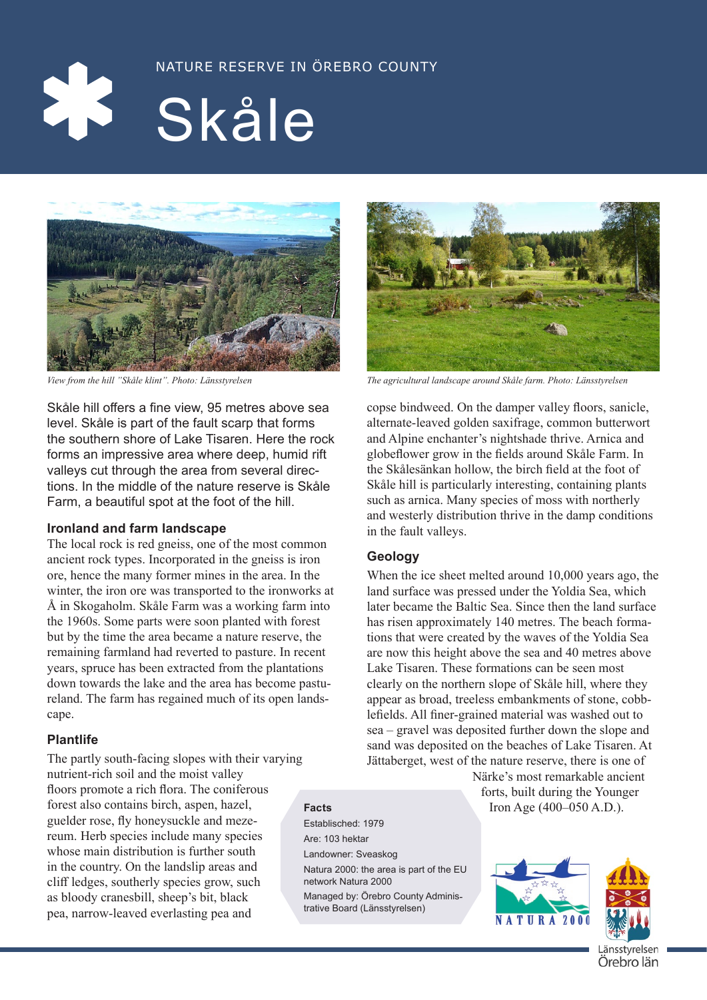



Skåle hill offers a fine view, 95 metres above sea level. Skåle is part of the fault scarp that forms the southern shore of Lake Tisaren. Here the rock forms an impressive area where deep, humid rift valleys cut through the area from several directions. In the middle of the nature reserve is Skåle Farm, a beautiful spot at the foot of the hill.

# **Ironland and farm landscape**

The local rock is red gneiss, one of the most common ancient rock types. Incorporated in the gneiss is iron ore, hence the many former mines in the area. In the winter, the iron ore was transported to the ironworks at Å in Skogaholm. Skåle Farm was a working farm into the 1960s. Some parts were soon planted with forest but by the time the area became a nature reserve, the remaining farmland had reverted to pasture. In recent years, spruce has been extracted from the plantations down towards the lake and the area has become pastureland. The farm has regained much of its open landscape.

# **Plantlife**

The partly south-facing slopes with their varying nutrient-rich soil and the moist valley floors promote a rich flora. The coniferous forest also contains birch, aspen, hazel, guelder rose, fly honeysuckle and mezereum. Herb species include many species whose main distribution is further south in the country. On the landslip areas and cliff ledges, southerly species grow, such as bloody cranesbill, sheep's bit, black pea, narrow-leaved everlasting pea and

Establisched: 1979 Are: 103 hektar Landowner: Sveaskog Natura 2000: the area is part of the EU network Natura 2000 Managed by: Örebro County Administrative Board (Länsstyrelsen)



*View from the hill "Skåle klint". Photo: Länsstyrelsen The agricultural landscape around Skåle farm. Photo: Länsstyrelsen*

copse bindweed. On the damper valley floors, sanicle, alternate-leaved golden saxifrage, common butterwort and Alpine enchanter's nightshade thrive. Arnica and globeflower grow in the fields around Skåle Farm. In the Skålesänkan hollow, the birch field at the foot of Skåle hill is particularly interesting, containing plants such as arnica. Many species of moss with northerly and westerly distribution thrive in the damp conditions in the fault valleys.

# **Geology**

When the ice sheet melted around 10,000 years ago, the land surface was pressed under the Yoldia Sea, which later became the Baltic Sea. Since then the land surface has risen approximately 140 metres. The beach formations that were created by the waves of the Yoldia Sea are now this height above the sea and 40 metres above Lake Tisaren. These formations can be seen most clearly on the northern slope of Skåle hill, where they appear as broad, treeless embankments of stone, cobblefields. All finer-grained material was washed out to sea – gravel was deposited further down the slope and sand was deposited on the beaches of Lake Tisaren. At Jättaberget, west of the nature reserve, there is one of

Närke's most remarkable ancient forts, built during the Younger **Facts** Iron Age (400–050 A.D.).



änsstyrelsen Örebro län